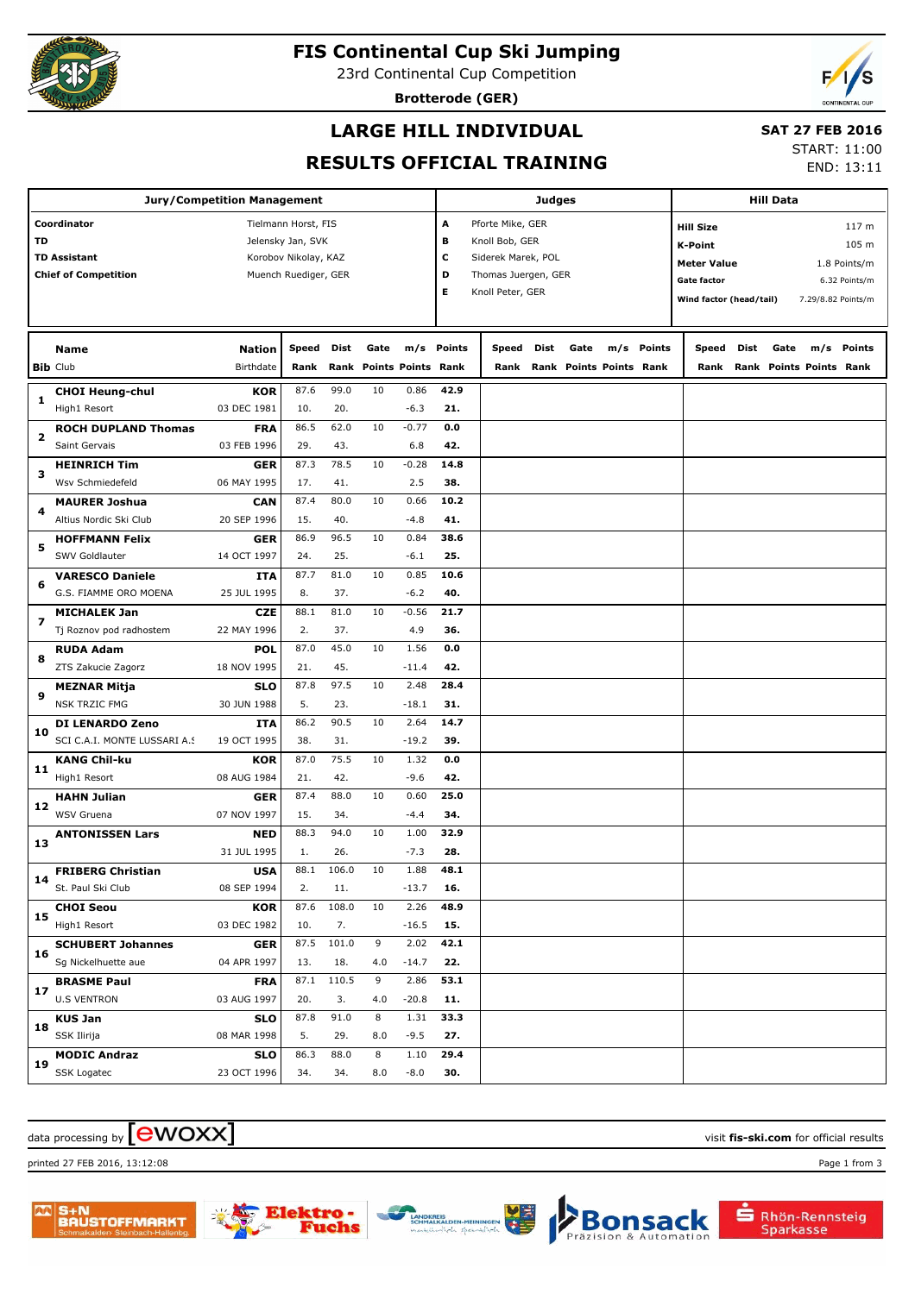

# **FIS Continental Cup Ski Jumping**

23rd Continental Cup Competition

**Brotterode (GER)**



# **LARGE HILL INDIVIDUAL**

#### **SAT 27 FEB 2016**

#### **RESULTS OFFICIAL TRAINING**

START: 11:00 END: 13:11

| <b>Jury/Competition Management</b> |                                               |                           |                      |              |      |                         |             |                         |      |                              | <b>Hill Data</b> |        |                         |                                             |      |                                     |                    |  |  |
|------------------------------------|-----------------------------------------------|---------------------------|----------------------|--------------|------|-------------------------|-------------|-------------------------|------|------------------------------|------------------|--------|-------------------------|---------------------------------------------|------|-------------------------------------|--------------------|--|--|
| Coordinator<br>Tielmann Horst, FIS |                                               |                           |                      |              |      |                         | Α           | Pforte Mike, GER        |      |                              |                  |        |                         |                                             |      |                                     | 117 m              |  |  |
| TD                                 |                                               | Jelensky Jan, SVK         |                      |              |      |                         |             | в<br>Knoll Bob, GER     |      |                              |                  |        |                         | <b>Hill Size</b><br>105 m<br><b>K-Point</b> |      |                                     |                    |  |  |
|                                    | <b>TD Assistant</b>                           | Korobov Nikolay, KAZ      |                      |              |      |                         |             | c<br>Siderek Marek, POL |      |                              |                  |        |                         | <b>Meter Value</b><br>1.8 Points/m          |      |                                     |                    |  |  |
|                                    | <b>Chief of Competition</b>                   |                           | Muench Ruediger, GER |              |      |                         | D           | Thomas Juergen, GER     |      |                              |                  |        | <b>Gate factor</b>      |                                             |      |                                     | 6.32 Points/m      |  |  |
|                                    |                                               |                           |                      |              |      |                         | Е           | Knoll Peter, GER        |      |                              |                  |        | Wind factor (head/tail) |                                             |      |                                     | 7.29/8.82 Points/m |  |  |
|                                    |                                               |                           |                      |              |      |                         |             |                         |      |                              |                  |        |                         |                                             |      |                                     |                    |  |  |
|                                    | <b>Name</b>                                   | <b>Nation</b>             | Speed                | <b>Dist</b>  | Gate |                         | m/s Points  | Speed                   | Dist | Gate                         | m/s              | Points | Speed                   | Dist                                        | Gate | m/s                                 | Points             |  |  |
|                                    | <b>Bib Club</b>                               | Birthdate                 | Rank                 |              |      | Rank Points Points Rank |             |                         |      | Rank Rank Points Points Rank |                  |        |                         |                                             |      | <b>Rank Rank Points Points Rank</b> |                    |  |  |
| 1                                  | <b>CHOI Heung-chul</b>                        | <b>KOR</b>                | 87.6                 | 99.0         | 10   | 0.86                    | 42.9        |                         |      |                              |                  |        |                         |                                             |      |                                     |                    |  |  |
|                                    | High1 Resort                                  | 03 DEC 1981               | 10.                  | 20.          |      | $-6.3$                  | 21.         |                         |      |                              |                  |        |                         |                                             |      |                                     |                    |  |  |
| 2                                  | <b>ROCH DUPLAND Thomas</b>                    | <b>FRA</b>                | 86.5                 | 62.0         | 10   | $-0.77$                 | 0.0         |                         |      |                              |                  |        |                         |                                             |      |                                     |                    |  |  |
|                                    | Saint Gervais                                 | 03 FEB 1996               | 29.                  | 43.          |      | 6.8                     | 42.         |                         |      |                              |                  |        |                         |                                             |      |                                     |                    |  |  |
| з                                  | <b>HEINRICH Tim</b>                           | <b>GER</b>                | 87.3                 | 78.5         | 10   | $-0.28$                 | 14.8        |                         |      |                              |                  |        |                         |                                             |      |                                     |                    |  |  |
|                                    | Wsv Schmiedefeld                              | 06 MAY 1995               | 17.                  | 41.          |      | 2.5                     | 38.         |                         |      |                              |                  |        |                         |                                             |      |                                     |                    |  |  |
| 4                                  | <b>MAURER Joshua</b>                          | <b>CAN</b>                | 87.4                 | 80.0         | 10   | 0.66                    | 10.2        |                         |      |                              |                  |        |                         |                                             |      |                                     |                    |  |  |
|                                    | Altius Nordic Ski Club                        | 20 SEP 1996               | 15.                  | 40.          |      | $-4.8$                  | 41.         |                         |      |                              |                  |        |                         |                                             |      |                                     |                    |  |  |
| 5                                  | <b>HOFFMANN Felix</b>                         | <b>GER</b>                | 86.9                 | 96.5         | 10   | 0.84                    | 38.6        |                         |      |                              |                  |        |                         |                                             |      |                                     |                    |  |  |
|                                    | SWV Goldlauter                                | 14 OCT 1997               | 24.                  | 25.          |      | $-6.1$                  | 25.         |                         |      |                              |                  |        |                         |                                             |      |                                     |                    |  |  |
| 6                                  | <b>VARESCO Daniele</b>                        | <b>ITA</b>                | 87.7                 | 81.0         | 10   | 0.85                    | 10.6        |                         |      |                              |                  |        |                         |                                             |      |                                     |                    |  |  |
|                                    | G.S. FIAMME ORO MOENA                         | 25 JUL 1995               | 8.                   | 37.          |      | $-6.2$                  | 40.         |                         |      |                              |                  |        |                         |                                             |      |                                     |                    |  |  |
| 7                                  | <b>MICHALEK Jan</b>                           | <b>CZE</b>                | 88.1                 | 81.0         | 10   | $-0.56$                 | 21.7        |                         |      |                              |                  |        |                         |                                             |      |                                     |                    |  |  |
|                                    | Tj Roznov pod radhostem                       | 22 MAY 1996               | 2.                   | 37.          |      | 4.9                     | 36.         |                         |      |                              |                  |        |                         |                                             |      |                                     |                    |  |  |
| 8                                  | <b>RUDA Adam</b>                              | <b>POL</b>                | 87.0                 | 45.0         | 10   | 1.56                    | 0.0         |                         |      |                              |                  |        |                         |                                             |      |                                     |                    |  |  |
|                                    | ZTS Zakucie Zagorz                            | 18 NOV 1995               | 21.                  | 45.          |      | $-11.4$                 | 42.         |                         |      |                              |                  |        |                         |                                             |      |                                     |                    |  |  |
| 9                                  | MEZNAR Mitja                                  | <b>SLO</b>                | 87.8                 | 97.5         | 10   | 2.48                    | 28.4        |                         |      |                              |                  |        |                         |                                             |      |                                     |                    |  |  |
|                                    | <b>NSK TRZIC FMG</b>                          | 30 JUN 1988               | 5.                   | 23.          |      | $-18.1$                 | 31.         |                         |      |                              |                  |        |                         |                                             |      |                                     |                    |  |  |
| 10                                 | DI LENARDO Zeno                               | <b>ITA</b>                | 86.2                 | 90.5         | 10   | 2.64                    | 14.7        |                         |      |                              |                  |        |                         |                                             |      |                                     |                    |  |  |
|                                    | SCI C.A.I. MONTE LUSSARI A.S                  | 19 OCT 1995               | 38.                  | 31.          |      | $-19.2$                 | 39.         |                         |      |                              |                  |        |                         |                                             |      |                                     |                    |  |  |
| 11                                 | <b>KANG Chil-ku</b>                           | <b>KOR</b>                | 87.0                 | 75.5         | 10   | 1.32                    | 0.0         |                         |      |                              |                  |        |                         |                                             |      |                                     |                    |  |  |
|                                    | High1 Resort                                  | 08 AUG 1984               | 21.                  | 42.          |      | $-9.6$                  | 42.         |                         |      |                              |                  |        |                         |                                             |      |                                     |                    |  |  |
| 12                                 | <b>HAHN Julian</b>                            | <b>GER</b>                | 87.4                 | 88.0         | 10   | 0.60                    | 25.0        |                         |      |                              |                  |        |                         |                                             |      |                                     |                    |  |  |
|                                    | <b>WSV Gruena</b>                             | 07 NOV 1997               | 15.                  | 34.          |      | $-4.4$                  | 34.         |                         |      |                              |                  |        |                         |                                             |      |                                     |                    |  |  |
| 13                                 | <b>ANTONISSEN Lars</b>                        | <b>NED</b>                | 88.3                 | 94.0         | 10   | 1.00                    | 32.9<br>28. |                         |      |                              |                  |        |                         |                                             |      |                                     |                    |  |  |
|                                    |                                               | 31 JUL 1995               | 1.<br>88.1           | 26.<br>106.0 | 10   | $-7.3$<br>1.88          | 48.1        |                         |      |                              |                  |        |                         |                                             |      |                                     |                    |  |  |
| 14                                 | <b>FRIBERG Christian</b><br>St. Paul Ski Club | <b>USA</b><br>08 SEP 1994 | 2.                   | 11.          |      | -13.7                   | 16.         |                         |      |                              |                  |        |                         |                                             |      |                                     |                    |  |  |
|                                    | <b>CHOI Seou</b>                              | <b>KOR</b>                | 87.6                 | 108.0        | 10   | 2.26                    | 48.9        |                         |      |                              |                  |        |                         |                                             |      |                                     |                    |  |  |
| 15                                 | High1 Resort                                  | 03 DEC 1982               | 10.                  | 7.           |      | $-16.5$                 | 15.         |                         |      |                              |                  |        |                         |                                             |      |                                     |                    |  |  |
|                                    | <b>SCHUBERT Johannes</b>                      | <b>GER</b>                | 87.5                 | 101.0        | 9    | 2.02                    | 42.1        |                         |      |                              |                  |        |                         |                                             |      |                                     |                    |  |  |
| 16                                 | Sg Nickelhuette aue                           | 04 APR 1997               | 13.                  | 18.          | 4.0  | $-14.7$                 | 22.         |                         |      |                              |                  |        |                         |                                             |      |                                     |                    |  |  |
|                                    | <b>BRASME Paul</b>                            | <b>FRA</b>                | 87.1                 | 110.5        | 9    | 2.86                    | 53.1        |                         |      |                              |                  |        |                         |                                             |      |                                     |                    |  |  |
| 17                                 | <b>U.S VENTRON</b>                            | 03 AUG 1997               | 20.                  | 3.           | 4.0  | $-20.8$                 | 11.         |                         |      |                              |                  |        |                         |                                             |      |                                     |                    |  |  |
|                                    | <b>KUS Jan</b>                                | <b>SLO</b>                | 87.8                 | 91.0         | 8    | 1.31                    | 33.3        |                         |      |                              |                  |        |                         |                                             |      |                                     |                    |  |  |
| 18                                 | SSK Ilirija                                   | 08 MAR 1998               | 5.                   | 29.          | 8.0  | $-9.5$                  | 27.         |                         |      |                              |                  |        |                         |                                             |      |                                     |                    |  |  |
|                                    | <b>MODIC Andraz</b>                           | <b>SLO</b>                | 86.3                 | 88.0         | 8    | 1.10                    | 29.4        |                         |      |                              |                  |        |                         |                                             |      |                                     |                    |  |  |
| 19                                 | SSK Logatec                                   | 23 OCT 1996               | 34.                  | 34.          | 8.0  | $-8.0$                  | 30.         |                         |      |                              |                  |        |                         |                                             |      |                                     |                    |  |  |
|                                    |                                               |                           |                      |              |      |                         |             |                         |      |                              |                  |        |                         |                                             |      |                                     |                    |  |  |

# $\alpha$  data processing by  $\boxed{\text{ewOX}}$

printed 27 FEB 2016, 13:12:08 Page 1 from 3



nehe



Rhön-Rennsteig<br>Sparkasse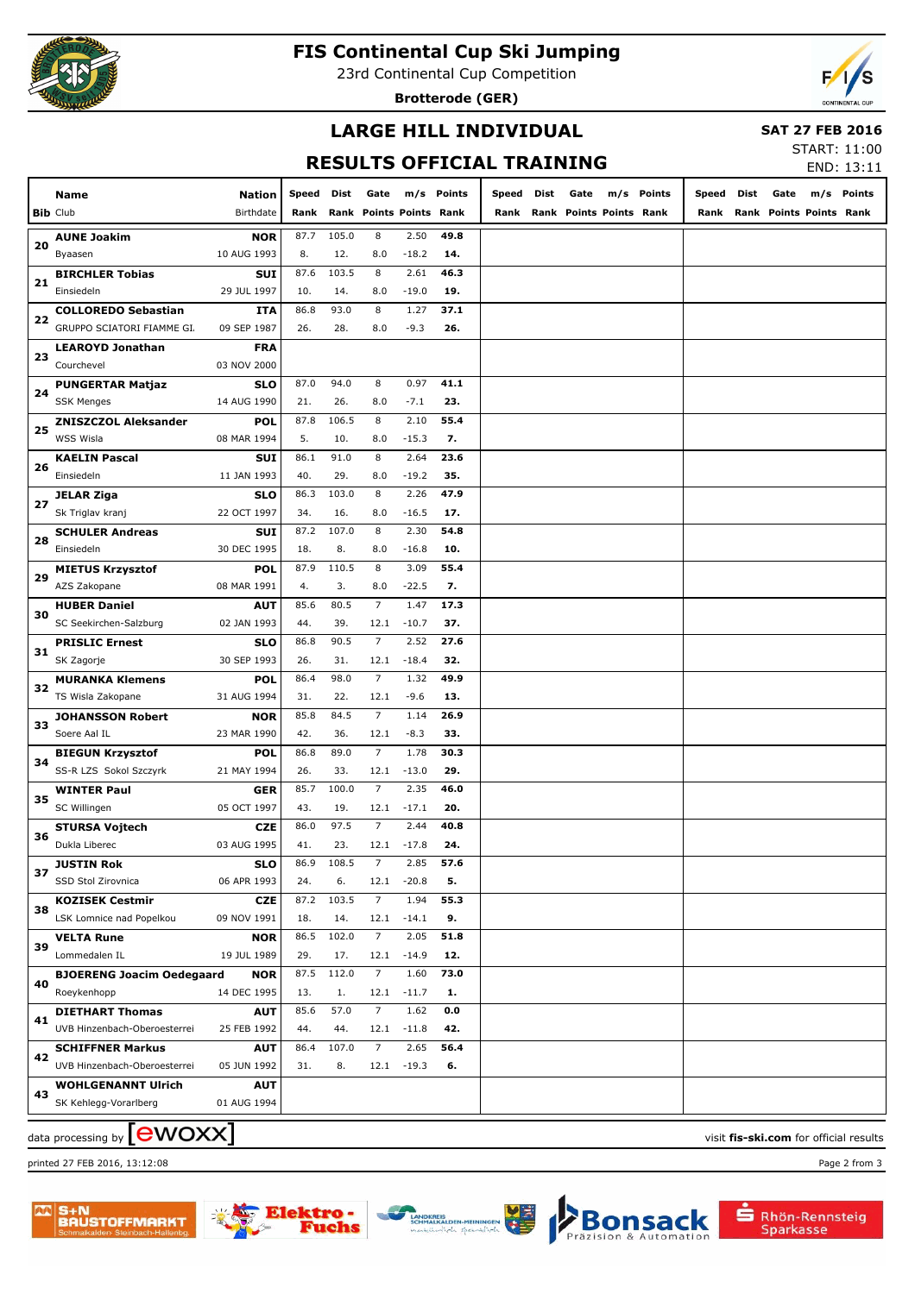

# **FIS Continental Cup Ski Jumping**

23rd Continental Cup Competition

**Brotterode (GER)**



### **LARGE HILL INDIVIDUAL**

 **SAT 27 FEB 2016**

# **RESULTS OFFICIAL TRAINING**

START: 11:00 END: 13:11

|    |                                  |             |              |       |                         |               |            |       |      |                         |            |            |                              | ----------- |
|----|----------------------------------|-------------|--------------|-------|-------------------------|---------------|------------|-------|------|-------------------------|------------|------------|------------------------------|-------------|
|    | Name                             | Nation      | <b>Speed</b> | Dist  | Gate                    |               | m/s Points | Speed | Dist | Gate                    | m/s Points | Speed Dist | Gate                         | m/s Points  |
|    | <b>Bib Club</b>                  | Birthdate   | Rank         |       | Rank Points Points Rank |               |            | Rank  |      | Rank Points Points Rank |            |            | Rank Rank Points Points Rank |             |
|    |                                  |             |              |       |                         |               |            |       |      |                         |            |            |                              |             |
| 20 | <b>AUNE Joakim</b>               | <b>NOR</b>  | 87.7         | 105.0 | 8                       | 2.50          | 49.8       |       |      |                         |            |            |                              |             |
|    | Byaasen                          | 10 AUG 1993 | 8.           | 12.   | 8.0                     | $-18.2$       | 14.        |       |      |                         |            |            |                              |             |
| 21 | <b>BIRCHLER Tobias</b>           | <b>SUI</b>  | 87.6         | 103.5 | 8                       | 2.61          | 46.3       |       |      |                         |            |            |                              |             |
|    | Einsiedeln                       | 29 JUL 1997 | 10.          | 14.   | 8.0                     | $-19.0$       | 19.        |       |      |                         |            |            |                              |             |
| 22 | <b>COLLOREDO Sebastian</b>       | ITA         | 86.8         | 93.0  | 8                       | 1.27          | 37.1       |       |      |                         |            |            |                              |             |
|    | GRUPPO SCIATORI FIAMME GI.       | 09 SEP 1987 | 26.          | 28.   | 8.0                     | $-9.3$        | 26.        |       |      |                         |            |            |                              |             |
|    | <b>LEAROYD Jonathan</b>          | <b>FRA</b>  |              |       |                         |               |            |       |      |                         |            |            |                              |             |
| 23 | Courchevel                       | 03 NOV 2000 |              |       |                         |               |            |       |      |                         |            |            |                              |             |
|    | <b>PUNGERTAR Matjaz</b>          | SLO         | 87.0         | 94.0  | 8                       | 0.97          | 41.1       |       |      |                         |            |            |                              |             |
| 24 | <b>SSK Menges</b>                | 14 AUG 1990 | 21.          | 26.   | 8.0                     | $-7.1$        | 23.        |       |      |                         |            |            |                              |             |
|    | <b>ZNISZCZOL Aleksander</b>      | POL         | 87.8         | 106.5 | 8                       | 2.10          | 55.4       |       |      |                         |            |            |                              |             |
| 25 | WSS Wisla                        | 08 MAR 1994 | 5.           | 10.   | 8.0                     | $-15.3$       | 7.         |       |      |                         |            |            |                              |             |
|    | <b>KAELIN Pascal</b>             | SUI         | 86.1         | 91.0  | 8                       | 2.64          | 23.6       |       |      |                         |            |            |                              |             |
| 26 | Einsiedeln                       | 11 JAN 1993 | 40.          | 29.   | 8.0                     | $-19.2$       | 35.        |       |      |                         |            |            |                              |             |
|    | JELAR Ziga                       | SLO         | 86.3         | 103.0 | 8                       | 2.26          | 47.9       |       |      |                         |            |            |                              |             |
| 27 | Sk Triglav kranj                 | 22 OCT 1997 | 34.          | 16.   | 8.0                     | $-16.5$       | 17.        |       |      |                         |            |            |                              |             |
|    |                                  | <b>SUI</b>  | 87.2         | 107.0 | 8                       | 2.30          | 54.8       |       |      |                         |            |            |                              |             |
| 28 | <b>SCHULER Andreas</b>           |             |              |       |                         |               |            |       |      |                         |            |            |                              |             |
|    | Einsiedeln                       | 30 DEC 1995 | 18.          | 8.    | 8.0                     | $-16.8$       | 10.        |       |      |                         |            |            |                              |             |
| 29 | <b>MIETUS Krzysztof</b>          | <b>POL</b>  | 87.9         | 110.5 | 8                       | 3.09          | 55.4       |       |      |                         |            |            |                              |             |
|    | AZS Zakopane                     | 08 MAR 1991 | 4.           | 3.    | 8.0                     | $-22.5$       | 7.         |       |      |                         |            |            |                              |             |
| 30 | <b>HUBER Daniel</b>              | <b>AUT</b>  | 85.6         | 80.5  | $\overline{7}$          | 1.47          | 17.3       |       |      |                         |            |            |                              |             |
|    | SC Seekirchen-Salzburg           | 02 JAN 1993 | 44.          | 39.   | 12.1                    | $-10.7$       | 37.        |       |      |                         |            |            |                              |             |
| 31 | <b>PRISLIC Ernest</b>            | <b>SLO</b>  | 86.8         | 90.5  | $\overline{7}$          | 2.52          | 27.6       |       |      |                         |            |            |                              |             |
|    | SK Zagorje                       | 30 SEP 1993 | 26.          | 31.   | 12.1                    | $-18.4$       | 32.        |       |      |                         |            |            |                              |             |
|    | <b>MURANKA Klemens</b>           | <b>POL</b>  | 86.4         | 98.0  | $\overline{7}$          | 1.32          | 49.9       |       |      |                         |            |            |                              |             |
| 32 | TS Wisla Zakopane                | 31 AUG 1994 | 31.          | 22.   | 12.1                    | $-9.6$        | 13.        |       |      |                         |            |            |                              |             |
|    | <b>JOHANSSON Robert</b>          | <b>NOR</b>  | 85.8         | 84.5  | $\overline{7}$          | 1.14          | 26.9       |       |      |                         |            |            |                              |             |
| 33 | Soere Aal IL                     | 23 MAR 1990 | 42.          | 36.   | 12.1                    | $-8.3$        | 33.        |       |      |                         |            |            |                              |             |
|    | <b>BIEGUN Krzysztof</b>          | POL         | 86.8         | 89.0  | $\overline{7}$          | 1.78          | 30.3       |       |      |                         |            |            |                              |             |
| 34 | SS-R LZS Sokol Szczyrk           | 21 MAY 1994 | 26.          | 33.   | 12.1                    | $-13.0$       | 29.        |       |      |                         |            |            |                              |             |
|    | <b>WINTER Paul</b>               | GER         | 85.7         | 100.0 | $\overline{7}$          | 2.35          | 46.0       |       |      |                         |            |            |                              |             |
| 35 | SC Willingen                     | 05 OCT 1997 | 43.          | 19.   | 12.1                    | $-17.1$       | 20.        |       |      |                         |            |            |                              |             |
|    |                                  | <b>CZE</b>  | 86.0         | 97.5  | $\overline{7}$          | 2.44          | 40.8       |       |      |                         |            |            |                              |             |
| 36 | STURSA Vojtech<br>Dukla Liberec  | 03 AUG 1995 | 41.          | 23.   |                         | $12.1 - 17.8$ | 24.        |       |      |                         |            |            |                              |             |
|    |                                  |             |              |       |                         |               |            |       |      |                         |            |            |                              |             |
| 37 | JUSTIN Rok<br>SSD Stol Zirovnica | SLO         | 86.9         | 108.5 | 7                       | 2.85          | 57.6       |       |      |                         |            |            |                              |             |
|    |                                  | 06 APR 1993 | 24.          | 6.    |                         | $12.1 - 20.8$ | 5.         |       |      |                         |            |            |                              |             |
| 38 | <b>KOZISEK Cestmir</b>           | <b>CZE</b>  | 87.2         | 103.5 | $\overline{7}$          | 1.94          | 55.3       |       |      |                         |            |            |                              |             |
|    | LSK Lomnice nad Popelkou         | 09 NOV 1991 | 18.          | 14.   |                         | $12.1 -14.1$  | 9.         |       |      |                         |            |            |                              |             |
| 39 | <b>VELTA Rune</b>                | <b>NOR</b>  | 86.5         | 102.0 | $\overline{7}$          | 2.05          | 51.8       |       |      |                         |            |            |                              |             |
|    | Lommedalen IL                    | 19 JUL 1989 | 29.          | 17.   |                         | $12.1 -14.9$  | 12.        |       |      |                         |            |            |                              |             |
| 40 | <b>BJOERENG Joacim Oedegaard</b> | <b>NOR</b>  | 87.5         | 112.0 | $\overline{7}$          | 1.60          | 73.0       |       |      |                         |            |            |                              |             |
|    | Roeykenhopp                      | 14 DEC 1995 | 13.          | 1.    |                         | $12.1 - 11.7$ | 1.         |       |      |                         |            |            |                              |             |
| 41 | <b>DIETHART Thomas</b>           | <b>AUT</b>  | 85.6         | 57.0  | $\overline{7}$          | 1.62          | 0.0        |       |      |                         |            |            |                              |             |
|    | UVB Hinzenbach-Oberoesterrei     | 25 FEB 1992 | 44.          | 44.   |                         | $12.1 - 11.8$ | 42.        |       |      |                         |            |            |                              |             |
| 42 | <b>SCHIFFNER Markus</b>          | <b>AUT</b>  | 86.4         | 107.0 | $\overline{7}$          | 2.65          | 56.4       |       |      |                         |            |            |                              |             |
|    | UVB Hinzenbach-Oberoesterrei     | 05 JUN 1992 | 31.          | 8.    |                         | $12.1 - 19.3$ | 6.         |       |      |                         |            |            |                              |             |
|    | <b>WOHLGENANNT Ulrich</b>        | <b>AUT</b>  |              |       |                         |               |            |       |      |                         |            |            |                              |             |
| 43 | SK Kehlegg-Vorarlberg            | 01 AUG 1994 |              |       |                         |               |            |       |      |                         |            |            |                              |             |
|    |                                  |             |              |       |                         |               |            |       |      |                         |            |            |                              |             |

 $\alpha$  data processing by  $\boxed{\text{ewOX}}$ 

printed 27 FEB 2016, 13:12:08 Page 2 from 3



nehe